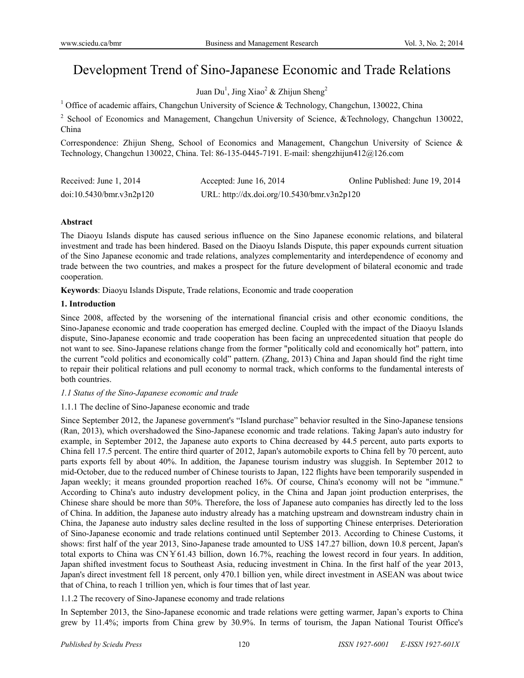# Development Trend of Sino-Japanese Economic and Trade Relations

Juan Du<sup>1</sup>, Jing Xiao<sup>2</sup> & Zhijun Sheng<sup>2</sup>

<sup>1</sup> Office of academic affairs, Changchun University of Science & Technology, Changchun, 130022, China

<sup>2</sup> School of Economics and Management, Changchun University of Science, &Technology, Changchun 130022, China

Correspondence: Zhijun Sheng, School of Economics and Management, Changchun University of Science & Technology, Changchun 130022, China. Tel: 86-135-0445-7191. E-mail: shengzhijun412@126.com

| Received: June 1, 2014   | Accepted: June $16, 2014$                   | Online Published: June 19, 2014 |
|--------------------------|---------------------------------------------|---------------------------------|
| doi:10.5430/bmr.v3n2p120 | URL: http://dx.doi.org/10.5430/bmr.v3n2p120 |                                 |

# **Abstract**

The Diaoyu Islands dispute has caused serious influence on the Sino Japanese economic relations, and bilateral investment and trade has been hindered. Based on the Diaoyu Islands Dispute, this paper expounds current situation of the Sino Japanese economic and trade relations, analyzes complementarity and interdependence of economy and trade between the two countries, and makes a prospect for the future development of bilateral economic and trade cooperation.

**Keywords**: Diaoyu Islands Dispute, Trade relations, Economic and trade cooperation

# **1. Introduction**

Since 2008, affected by the worsening of the international financial crisis and other economic conditions, the Sino-Japanese economic and trade cooperation has emerged decline. Coupled with the impact of the Diaoyu Islands dispute, Sino-Japanese economic and trade cooperation has been facing an unprecedented situation that people do not want to see. Sino-Japanese relations change from the former "politically cold and economically hot" pattern, into the current "cold politics and economically cold" pattern. (Zhang, 2013) China and Japan should find the right time to repair their political relations and pull economy to normal track, which conforms to the fundamental interests of both countries.

# *1.1 Status of the Sino-Japanese economic and trade*

# 1.1.1 The decline of Sino-Japanese economic and trade

Since September 2012, the Japanese government's "Island purchase" behavior resulted in the Sino-Japanese tensions (Ran, 2013), which overshadowed the Sino-Japanese economic and trade relations. Taking Japan's auto industry for example, in September 2012, the Japanese auto exports to China decreased by 44.5 percent, auto parts exports to China fell 17.5 percent. The entire third quarter of 2012, Japan's automobile exports to China fell by 70 percent, auto parts exports fell by about 40%. In addition, the Japanese tourism industry was sluggish. In September 2012 to mid-October, due to the reduced number of Chinese tourists to Japan, 122 flights have been temporarily suspended in Japan weekly; it means grounded proportion reached 16%. Of course, China's economy will not be "immune." According to China's auto industry development policy, in the China and Japan joint production enterprises, the Chinese share should be more than 50%. Therefore, the loss of Japanese auto companies has directly led to the loss of China. In addition, the Japanese auto industry already has a matching upstream and downstream industry chain in China, the Japanese auto industry sales decline resulted in the loss of supporting Chinese enterprises. Deterioration of Sino-Japanese economic and trade relations continued until September 2013. According to Chinese Customs, it shows: first half of the year 2013, Sino-Japanese trade amounted to US\$ 147.27 billion, down 10.8 percent, Japan's total exports to China was CN¥61.43 billion, down 16.7%, reaching the lowest record in four years. In addition, Japan shifted investment focus to Southeast Asia, reducing investment in China. In the first half of the year 2013, Japan's direct investment fell 18 percent, only 470.1 billion yen, while direct investment in ASEAN was about twice that of China, to reach 1 trillion yen, which is four times that of last year.

# 1.1.2 The recovery of Sino-Japanese economy and trade relations

In September 2013, the Sino-Japanese economic and trade relations were getting warmer, Japan's exports to China grew by 11.4%; imports from China grew by 30.9%. In terms of tourism, the Japan National Tourist Office's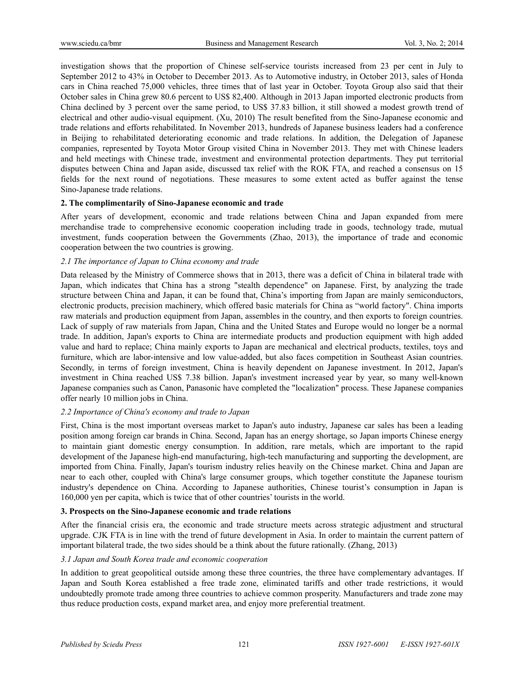investigation shows that the proportion of Chinese self-service tourists increased from 23 per cent in July to September 2012 to 43% in October to December 2013. As to Automotive industry, in October 2013, sales of Honda cars in China reached 75,000 vehicles, three times that of last year in October. Toyota Group also said that their October sales in China grew 80.6 percent to US\$ 82,400. Although in 2013 Japan imported electronic products from China declined by 3 percent over the same period, to US\$ 37.83 billion, it still showed a modest growth trend of electrical and other audio-visual equipment. (Xu, 2010) The result benefited from the Sino-Japanese economic and trade relations and efforts rehabilitated. In November 2013, hundreds of Japanese business leaders had a conference in Beijing to rehabilitated deteriorating economic and trade relations. In addition, the Delegation of Japanese companies, represented by Toyota Motor Group visited China in November 2013. They met with Chinese leaders and held meetings with Chinese trade, investment and environmental protection departments. They put territorial disputes between China and Japan aside, discussed tax relief with the ROK FTA, and reached a consensus on 15 fields for the next round of negotiations. These measures to some extent acted as buffer against the tense Sino-Japanese trade relations.

# **2. The complimentarily of Sino-Japanese economic and trade**

After years of development, economic and trade relations between China and Japan expanded from mere merchandise trade to comprehensive economic cooperation including trade in goods, technology trade, mutual investment, funds cooperation between the Governments (Zhao, 2013), the importance of trade and economic cooperation between the two countries is growing.

#### *2.1 The importance of Japan to China economy and trade*

Data released by the Ministry of Commerce shows that in 2013, there was a deficit of China in bilateral trade with Japan, which indicates that China has a strong "stealth dependence" on Japanese. First, by analyzing the trade structure between China and Japan, it can be found that, China's importing from Japan are mainly semiconductors, electronic products, precision machinery, which offered basic materials for China as "world factory". China imports raw materials and production equipment from Japan, assembles in the country, and then exports to foreign countries. Lack of supply of raw materials from Japan, China and the United States and Europe would no longer be a normal trade. In addition, Japan's exports to China are intermediate products and production equipment with high added value and hard to replace; China mainly exports to Japan are mechanical and electrical products, textiles, toys and furniture, which are labor-intensive and low value-added, but also faces competition in Southeast Asian countries. Secondly, in terms of foreign investment, China is heavily dependent on Japanese investment. In 2012, Japan's investment in China reached US\$ 7.38 billion. Japan's investment increased year by year, so many well-known Japanese companies such as Canon, Panasonic have completed the "localization" process. These Japanese companies offer nearly 10 million jobs in China.

# *2.2 Importance of China's economy and trade to Japan*

First, China is the most important overseas market to Japan's auto industry, Japanese car sales has been a leading position among foreign car brands in China. Second, Japan has an energy shortage, so Japan imports Chinese energy to maintain giant domestic energy consumption. In addition, rare metals, which are important to the rapid development of the Japanese high-end manufacturing, high-tech manufacturing and supporting the development, are imported from China. Finally, Japan's tourism industry relies heavily on the Chinese market. China and Japan are near to each other, coupled with China's large consumer groups, which together constitute the Japanese tourism industry's dependence on China. According to Japanese authorities, Chinese tourist's consumption in Japan is 160,000 yen per capita, which is twice that of other countries' tourists in the world.

#### **3. Prospects on the Sino-Japanese economic and trade relations**

After the financial crisis era, the economic and trade structure meets across strategic adjustment and structural upgrade. CJK FTA is in line with the trend of future development in Asia. In order to maintain the current pattern of important bilateral trade, the two sides should be a think about the future rationally. (Zhang, 2013)

# *3.1 Japan and South Korea trade and economic cooperation*

In addition to great geopolitical outside among these three countries, the three have complementary advantages. If Japan and South Korea established a free trade zone, eliminated tariffs and other trade restrictions, it would undoubtedly promote trade among three countries to achieve common prosperity. Manufacturers and trade zone may thus reduce production costs, expand market area, and enjoy more preferential treatment.